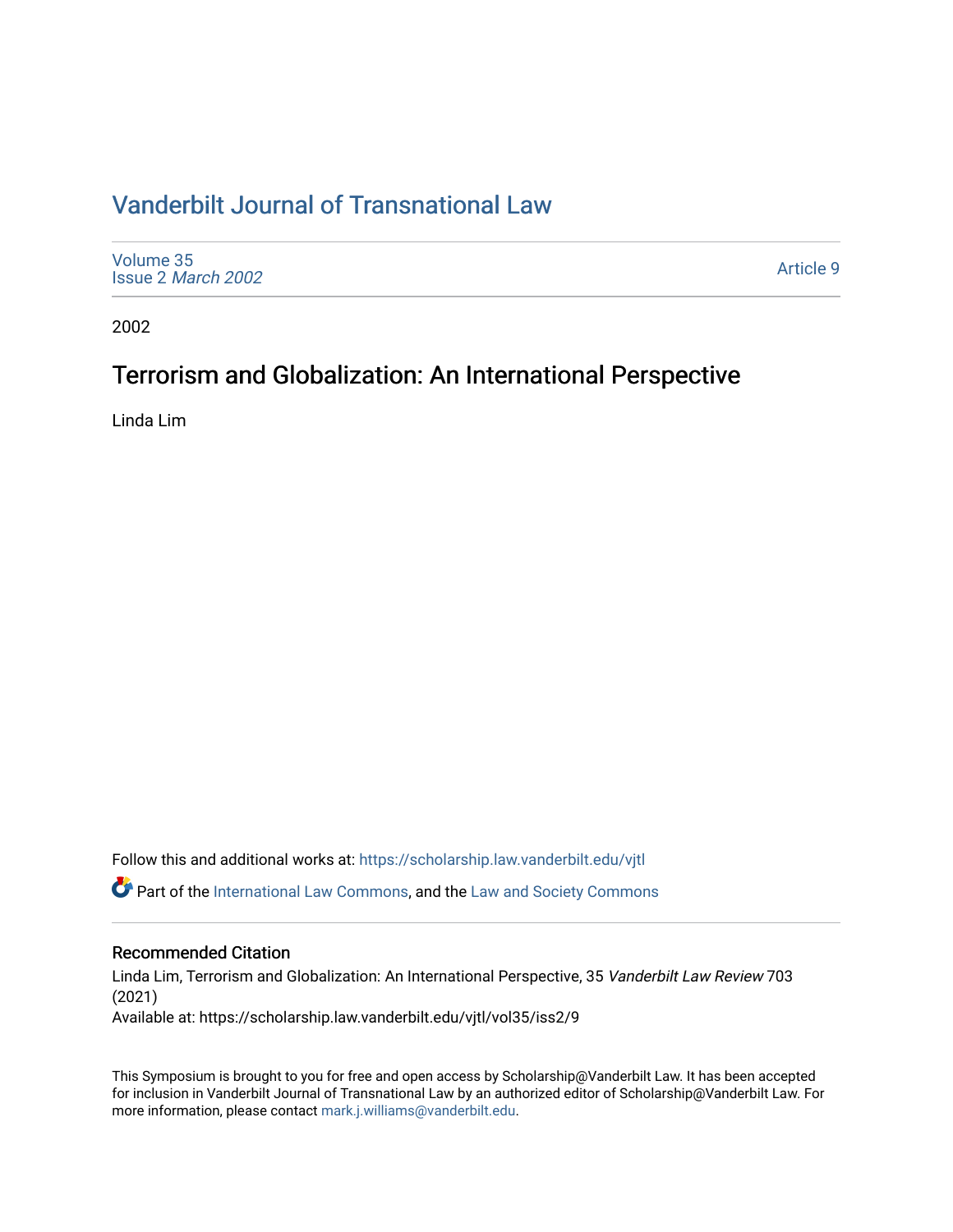# [Vanderbilt Journal of Transnational Law](https://scholarship.law.vanderbilt.edu/vjtl)

| Volume 35<br>Issue 2 March 2002 | Article 9 |
|---------------------------------|-----------|
|---------------------------------|-----------|

2002

# Terrorism and Globalization: An International Perspective

Linda Lim

Follow this and additional works at: [https://scholarship.law.vanderbilt.edu/vjtl](https://scholarship.law.vanderbilt.edu/vjtl?utm_source=scholarship.law.vanderbilt.edu%2Fvjtl%2Fvol35%2Fiss2%2F9&utm_medium=PDF&utm_campaign=PDFCoverPages) 

Part of the [International Law Commons,](http://network.bepress.com/hgg/discipline/609?utm_source=scholarship.law.vanderbilt.edu%2Fvjtl%2Fvol35%2Fiss2%2F9&utm_medium=PDF&utm_campaign=PDFCoverPages) and the [Law and Society Commons](http://network.bepress.com/hgg/discipline/853?utm_source=scholarship.law.vanderbilt.edu%2Fvjtl%2Fvol35%2Fiss2%2F9&utm_medium=PDF&utm_campaign=PDFCoverPages) 

### Recommended Citation

Linda Lim, Terrorism and Globalization: An International Perspective, 35 Vanderbilt Law Review 703 (2021) Available at: https://scholarship.law.vanderbilt.edu/vjtl/vol35/iss2/9

This Symposium is brought to you for free and open access by Scholarship@Vanderbilt Law. It has been accepted for inclusion in Vanderbilt Journal of Transnational Law by an authorized editor of Scholarship@Vanderbilt Law. For more information, please contact [mark.j.williams@vanderbilt.edu](mailto:mark.j.williams@vanderbilt.edu).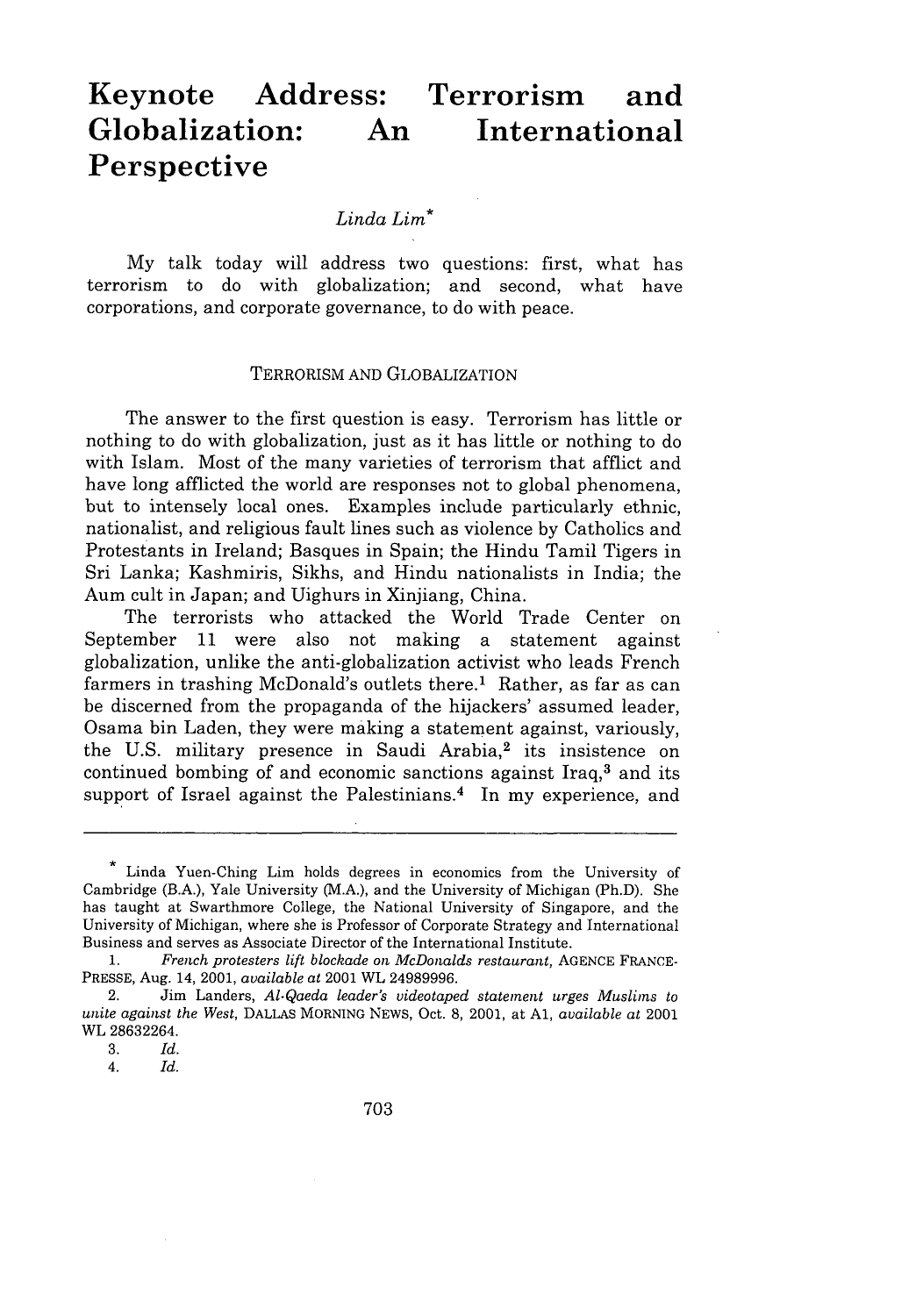# **Keynote Address: Terrorism and Globalization: An International Perspective**

#### *Linda Lim\**

My talk today will address two questions: first, what has terrorism to do with globalization; and second, what have corporations, and corporate governance, to do with peace.

#### TERRORISM AND GLOBALIZATION

The answer to the first question is easy. Terrorism has little or nothing to do with globalization, just as it has little or nothing to do with Islam. Most of the many varieties of terrorism that afflict and have long afflicted the world are responses not to global phenomena, but to intensely local ones. Examples include particularly ethnic, nationalist, and religious fault lines such as violence by Catholics and Protestants in Ireland; Basques in Spain; the Hindu Tamil Tigers in Sri Lanka; Kashmiris, Sikhs, and Hindu nationalists in India; the Aum cult in Japan; and Uighurs in Xinjiang, China.

The terrorists who attacked the World Trade Center on September 11 were also not making a statement against globalization, unlike the anti-globalization activist who leads French farmers in trashing McDonald's outlets there.<sup>1</sup> Rather, as far as can be discerned from the propaganda of the hijackers' assumed leader, Osama bin Laden, they were making a statement against, variously, the U.S. military presence in Saudi Arabia,<sup>2</sup> its insistence on continued bombing of and economic sanctions against Iraq, $3$  and its support of Israel against the Palestinians.<sup>4</sup> In my experience, and

Linda Yuen-Ching Lim holds degrees in economics from the University of Cambridge (B.A.), Yale University (M.A.), and the University of Michigan (Ph.D). She has taught at Swarthmore College, the National University of Singapore, and the University of Michigan, where she is Professor of Corporate Strategy and International Business and serves as Associate Director of the International Institute.

<sup>1.</sup> *French protesters lift blockade on McDonalds restaurant,* AGENCE FRANCE-PRESSE, Aug. 14, 2001, *available at* 2001 WL 24989996.

<sup>2.</sup> Jim Landers, *Al.Qaeda leader's videotaped statement urges Muslims to unite against the West,* DALLAS MORNING NEwS, Oct. 8, 2001, at **Al,** *available at* 2001 WL 28632264.

<sup>3.</sup> *Id.*

*<sup>4.</sup> Id.*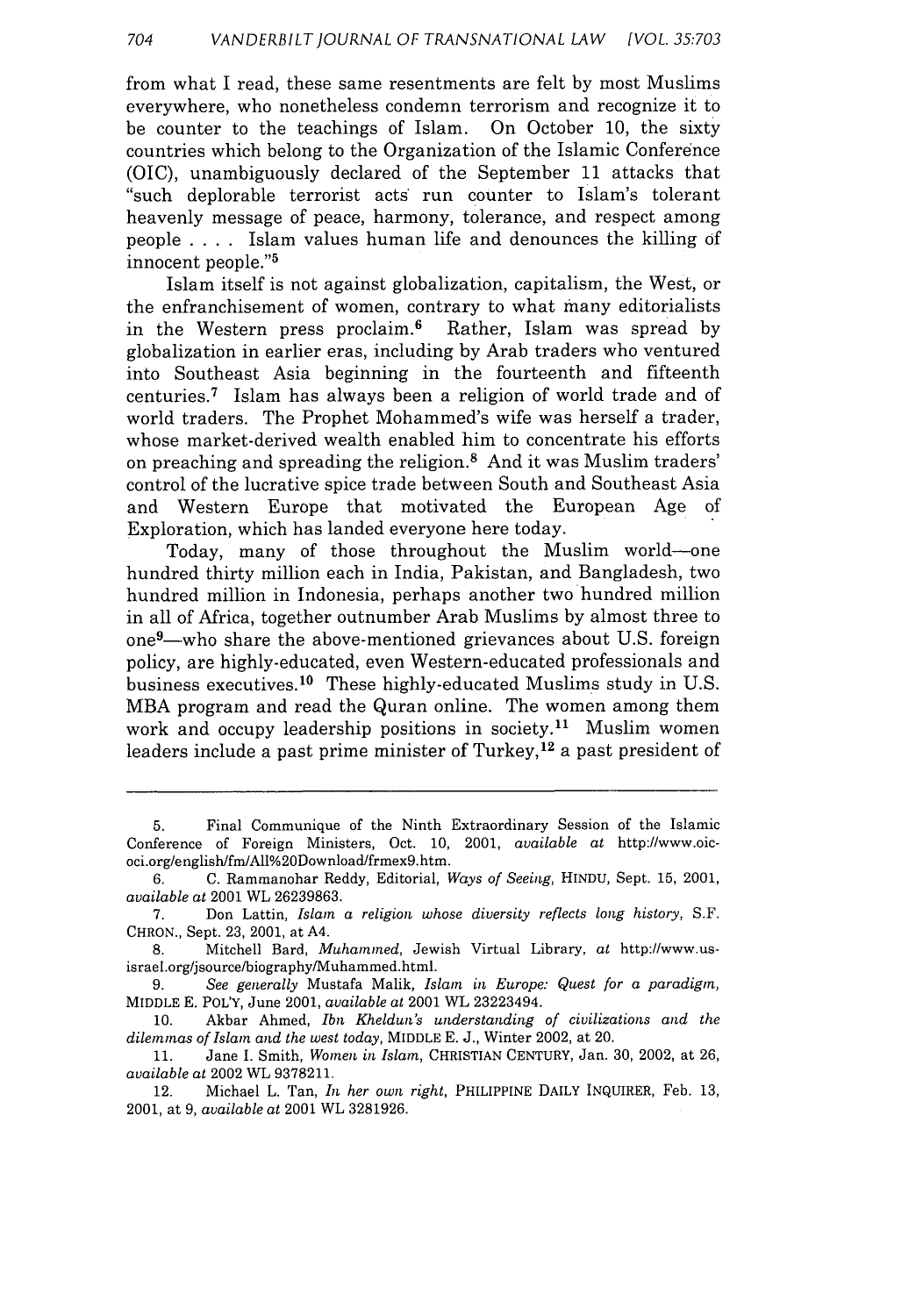from what I read, these same resentments are felt **by** most Muslims everywhere, who nonetheless condemn terrorism and recognize it to be counter to the teachings of Islam. On October 10, the sixty countries which belong to the Organization of the Islamic Conference (OIC), unambiguously declared of the September 11 attacks that "such deplorable terrorist acts' run counter to Islam's tolerant heavenly message of peace, harmony, tolerance, and respect among people .... Islam values human life and denounces the killing of innocent people."<sup>5</sup>

Islam itself is not against globalization, capitalism, the West, or the enfranchisement of women, contrary to what many editorialists in the Western press proclaim. 6 Rather, Islam was spread **by** globalization in earlier eras, including **by** Arab traders who ventured into Southeast Asia beginning in the fourteenth and fifteenth centuries.7 Islam has always been a religion of world trade and of world traders. The Prophet Mohammed's wife was herself a trader, whose market-derived wealth enabled him to concentrate his efforts on preaching and spreading the religion.8 And it was Muslim traders' control of the lucrative spice trade between South and Southeast Asia and Western Europe that motivated the European Age of Exploration, which has landed everyone here today.

Today, many of those throughout the Muslim world-one hundred thirty million each in India, Pakistan, and Bangladesh, two hundred million in Indonesia, perhaps another two hundred million in all of Africa, together outnumber Arab Muslims **by** almost three to one<sup>9</sup>—who share the above-mentioned grievances about U.S. foreign policy, are highly-educated, even Western-educated professionals and business executives.10 These highly-educated Muslims study in U.S. MBA program and read the Quran online. The women among them work and occupy leadership positions in society.<sup>11</sup> Muslim women leaders include a past prime minister of Turkey, 12 a past president of

9. See generally Mustafa Malik, *Islam in Europe: Quest for a paradigm*, MIDDLE E. POL'Y, June 2001, *available at* 2001 WL 23223494.

10. Akbar Ahmed, *Ibn Kheldun's understanding of civilizations and the dilemmas of Islam and the west today,* MIDDLE E. J., Winter 2002, at 20.

11. Jane I. Smith, *Women in Islam,* CHRISTIAN CENTURY, Jan. 30, 2002, at 26, *available at* 2002 WL 9378211.

12. Michael L. Tan, *In her* own *right,* PHILIPPINE DAILY INQUIRER, Feb. 13, 2001, at 9, *available at* 2001 WL 3281926.

<sup>5.</sup> Final Communique of the Ninth Extraordinary Session of the Islamic Conference of Foreign Ministers, Oct. 10, 2001, *available* at http://www.oicoci.org/english/fm/All%20Download/frmex9.htm.

<sup>6.</sup> C. Rammanohar Reddy, Editorial, *Ways of Seeing,* HINDU, Sept. 15, 2001, *available* at 2001 WL 26239863.

<sup>7.</sup> Don Lattin, *Islam a religion whose diversity reflects long history*, S.F. CHRON., Sept. 23, 2001, at A4.

<sup>8.</sup> Mitchell Bard, *Muhammed*, Jewish Virtual Library, at http://www.usisrael.org/jsource/biography/Muhammed.html.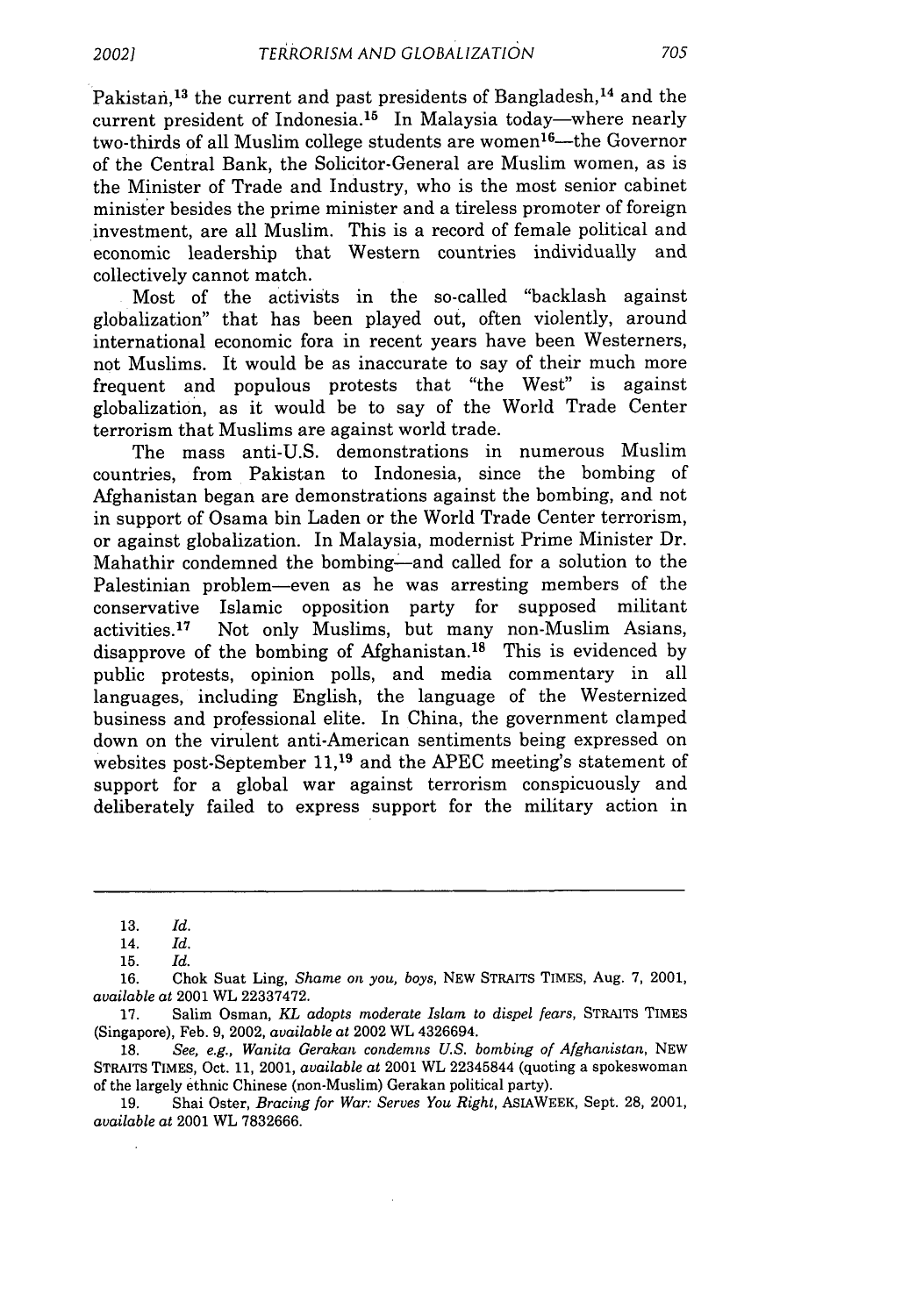Pakistan,<sup>13</sup> the current and past presidents of Bangladesh,<sup>14</sup> and the current president of Indonesia.<sup>15</sup> In Malaysia today—where nearly two-thirds of all Muslim college students are women<sup>16</sup>—the Governor of the Central Bank, the Solicitor-General are Muslim women, as is the Minister of Trade and Industry, who is the most senior cabinet minister besides the prime minister and a tireless promoter of foreign investment, are all Muslim. This is a record of female political and economic leadership that Western countries individually and collectively cannot match.

Most of the activists in the so-called "backlash against globalization" that has been played out, often violently, around international economic fora in recent years have been Westerners, not Muslims. It would be as inaccurate to say of their much more frequent and populous protests that "the West" is against globalization, as it would be to say of the World Trade Center terrorism that Muslims are against world trade.

The mass anti-U.S. demonstrations in numerous Muslim countries, from Pakistan to Indonesia, since the bombing of Afghanistan began are demonstrations against the bombing, and not in support of Osama bin Laden or the World Trade Center terrorism, or against globalization. In Malaysia, modernist Prime Minister Dr. Mahathir condemned the bombing-and called for a solution to the Palestinian problem-even as he was arresting members of the conservative Islamic opposition party for supposed militant activities. 17 Not only Muslims, but many non-Muslim Asians, disapprove of the bombing of Afghanistan.<sup>18</sup> This is evidenced by public protests, opinion polls, and media commentary in all languages, including English, the language of the Westernized business and professional elite. In China, the government clamped down on the virulent anti-American sentiments being expressed on websites post-September **11,19** and the APEC meeting's statement of support for a global war against terrorism conspicuously and deliberately failed to express support for the military action in

**16.** Chok Suat Ling, *Shame on you, boys,* **NEW** STRAITS TIMES, Aug. **7,** 2001, *available* at 2001 WL **22337472.**

**17.** Salim Osman, *KL adopts moderate Islam to dispel fears,* STRAITS **TIMES** (Singapore), Feb. **9,** 2002, *available* at 2002 WL 4326694.

**18.** *See, e.g., Wanita Gerakan condemns U.S. bombing of Afghanistan,* NEW STRAITS TIMES, Oct. **11,** 2001, *available at* 2001 WL 22345844 (quoting a spokeswoman of the largely ethnic Chinese (non-Muslim) Gerakan political party).

**19.** Shai Oster, *Bracing for War: Serves You Right,* AsIAWEEK, Sept. **28,** 2001, *available at* 2001 WL **7832666.**

**<sup>13.</sup>** *Id.*

<sup>14.</sup> *Id.*

**<sup>15.</sup>** *Id.*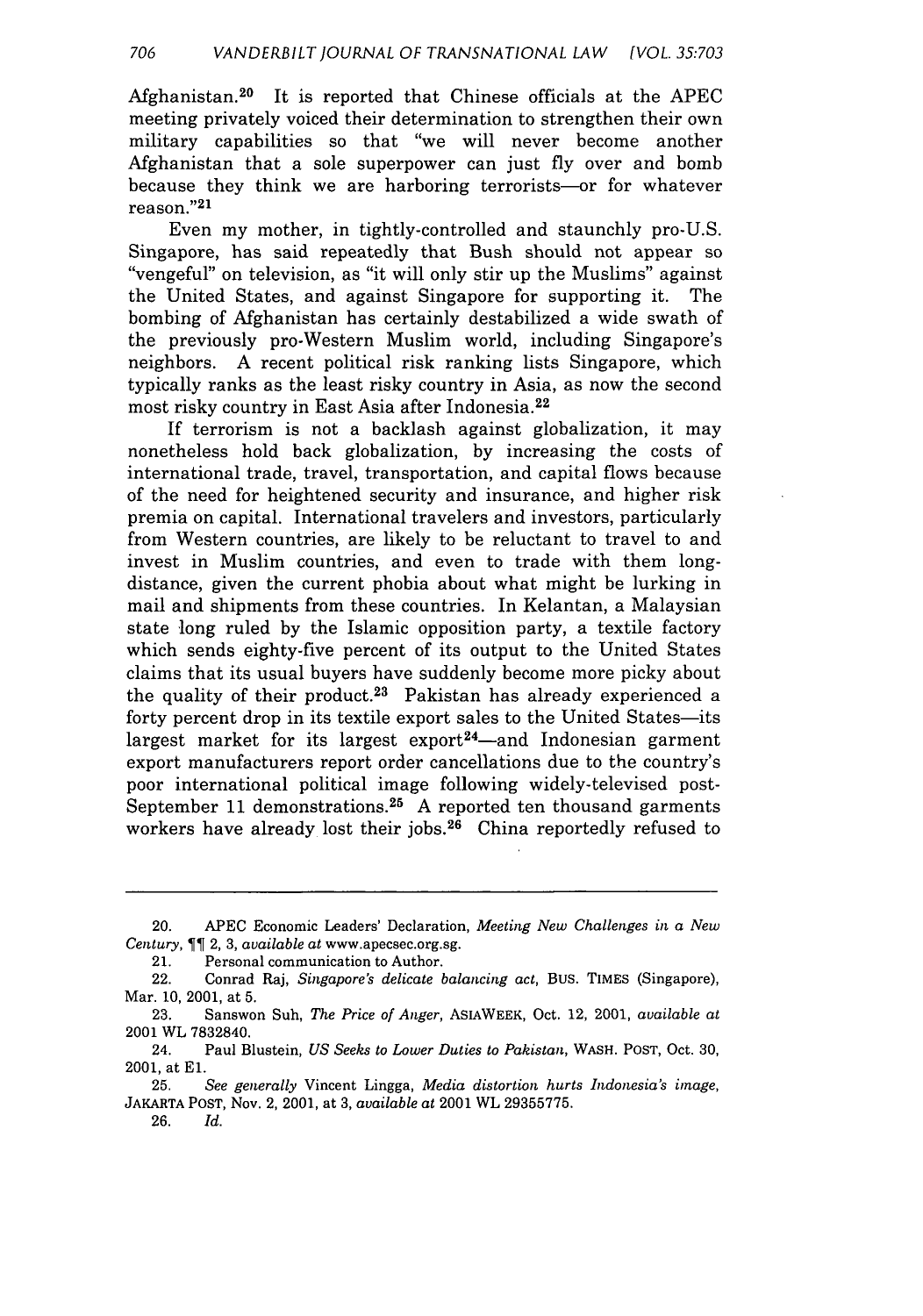Afghanistan.<sup>20</sup> It is reported that Chinese officials at the APEC meeting privately voiced their determination to strengthen their own military capabilities so that "we will never become another Afghanistan that a sole superpower can just fly over and bomb because they think we are harboring terrorists—or for whatever reason."<sup>21</sup>

Even my mother, in tightly-controlled and staunchly pro-U.S. Singapore, has said repeatedly that Bush should not appear so "vengeful" on television, as "it will only stir up the Muslims" against the United States, and against Singapore for supporting it. The bombing of Afghanistan has certainly destabilized a wide swath of the previously pro-Western Muslim world, including Singapore's neighbors. A recent political risk ranking lists Singapore, which typically ranks as the least risky country in Asia, as now the second most risky country in East Asia after Indonesia. <sup>22</sup>

If terrorism is not a backlash against globalization, it may nonetheless hold back globalization, by increasing the costs of international trade, travel, transportation, and capital flows because of the need for heightened security and insurance, and higher risk premia on capital. International travelers and investors, particularly from Western countries, are likely to be reluctant to travel to and invest in Muslim countries, and even to trade with them longdistance, given the current phobia about what might be lurking in mail and shipments from these countries. In Kelantan, a Malaysian state long ruled by the Islamic opposition party, a textile factory which sends eighty-five percent of its output to the United States claims that its usual buyers have suddenly become more picky about the quality of their product.<sup>23</sup> Pakistan has already experienced a forty percent drop in its textile export sales to the United States-its largest market for its largest export<sup>24</sup>—and Indonesian garment export manufacturers report order cancellations due to the country's poor international political image following widely-televised post-September 11 demonstrations.<sup>25</sup> A reported ten thousand garments workers have already lost their jobs.<sup>26</sup> China reportedly refused to

**26.** *Id.*

<sup>20.</sup> **APEC** Economic Leaders' Declaration, *Meeting New Challenges in a New Century,* 2, **3,** *available* at www.apecsec.org.sg.

<sup>21.</sup> Personal communication to Author.

<sup>22.</sup> Conrad Raj, *Singapore's delicate balancing act,* Bus. TIMES (Singapore), Mar. **10,** 2001, at **5.**

**<sup>23.</sup>** Sanswon Suh, *The Price of Anger,* ASIAWEEK, Oct. 12, 2001, *available at* 2001 WL **7832840.**

<sup>24.</sup> Paul Blustein, *US Seeks to Lower Duties to Pakistan,* WASH. **POST,** Oct. **30,** 2001, at **El.**

**<sup>25.</sup>** *See generally* Vincent Lingga, *Media distortion hurts Indonesia's image,* JAKARTA **POST,** Nov. 2, 2001, at **3,** *available at* 2001 WL **29355775.**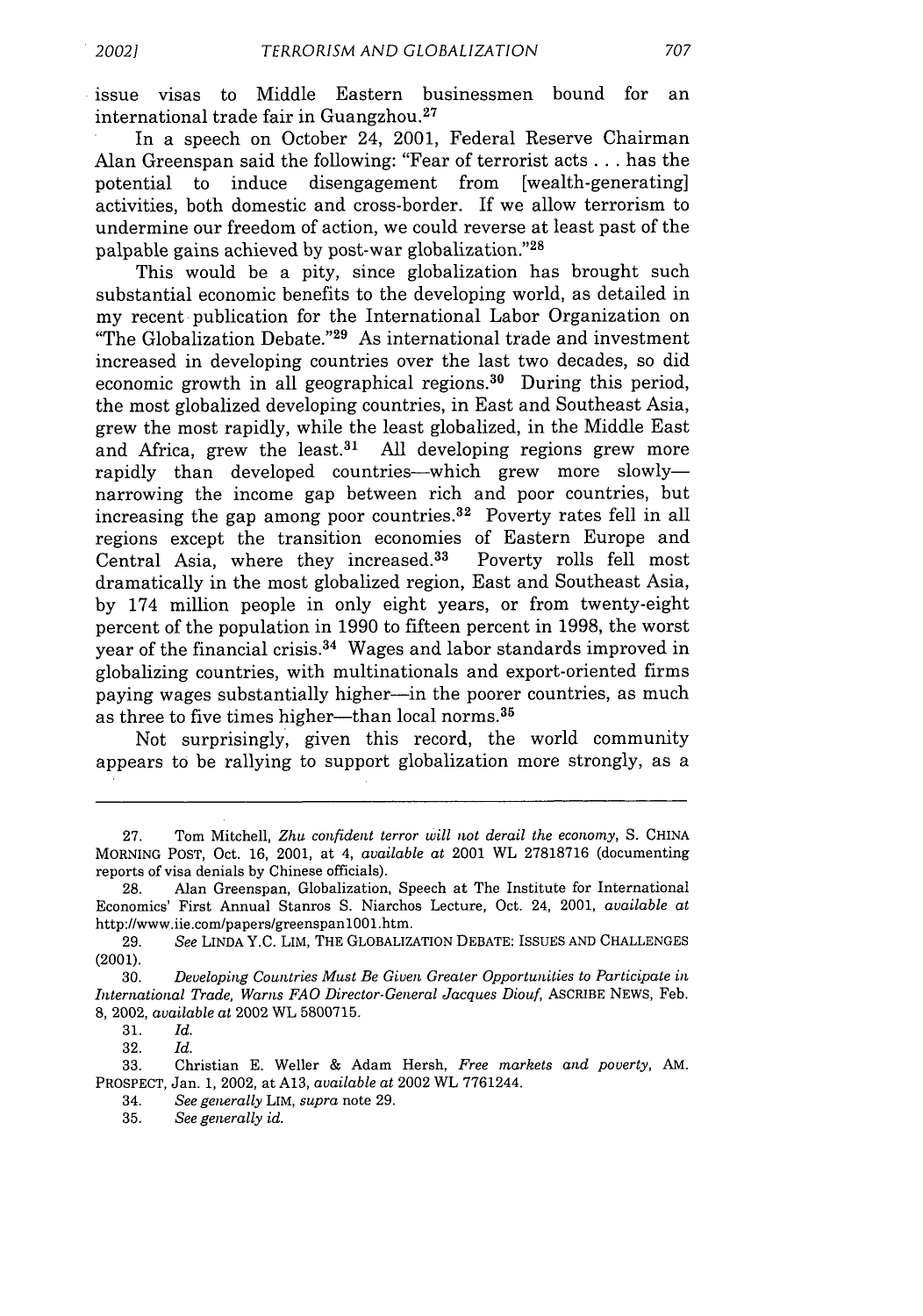issue visas to Middle Eastern businessmen bound for an international trade fair in Guangzhou.<sup>27</sup>

In a speech on October 24, 2001, Federal Reserve Chairman Alan Greenspan said the following: "Fear of terrorist acts **...** has the potential to induce disengagement from [wealth-generating] activities, both domestic and cross-border. If we allow terrorism to undermine our freedom of action, we could reverse at least past of the palpable gains achieved by post-war globalization."28

This would be a pity, since globalization has brought such substantial economic benefits to the developing world, as detailed in my recent publication for the International Labor Organization on "The Globalization Debate."<sup>29</sup> As international trade and investment increased in developing countries over the last two decades, so did economic growth in all geographical regions.<sup>30</sup> During this period, the most globalized developing countries, in East and Southeast Asia, grew the most rapidly, while the least globalized, in the Middle East and Africa, grew the least.<sup>31</sup> All developing regions grew more rapidly than developed countries--which grew more slowlynarrowing the income gap between rich and poor countries, but increasing the gap among poor countries. $32$  Poverty rates fell in all regions except the transition economies of Eastern Europe and Central Asia, where they increased.<sup>33</sup> Poverty rolls fell most dramatically in the most globalized region, East and Southeast Asia, by 174 million people in only eight years, or from twenty-eight percent of the population in 1990 to fifteen percent in 1998, the worst year of the financial crisis.<sup>34</sup> Wages and labor standards improved in globalizing countries, with multinationals and export-oriented firms paying wages substantially higher-in the poorer countries, as much as three to five times higher—than local norms.<sup>35</sup>

Not surprisingly, given this record, the world community appears to be rallying to support globalization more strongly, as a

31. *Id.*

32. *Id.*

33. Christian E. Weller & Adam Hersh, *Free markets and poverty, AM.* PROSPECT, Jan. 1, 2002, at A13, *available at* 2002 WL 7761244.

34. *See generally* LIM, *supra* note 29.

**<sup>27.</sup>** Tom Mitchell, *Zhu confident terror will not derail the economy,* **S.** CHINA MORNING POST, Oct. 16, 2001, at 4, *available* at 2001 WL 27818716 (documenting reports of visa denials by Chinese officials).

<sup>28.</sup> Alan Greenspan, Globalization, Speech at The Institute for International Economics' First Annual Stanros S. Niarchos Lecture, Oct. 24, 2001, *available at* http://www.iie.com/papers/greenspanlOOl.htm.

<sup>29.</sup> *See* LINDA Y.C. LIM, THE GLOBALIZATION DEBATE: ISSUES AND CHALLENGES (2001).

<sup>30.</sup> *Developing Countries Must Be Given Greater Opportunities to Participate in International Trade, Warns FAO Director-General Jacques Diouf,* ASCRIBE NEWS, Feb. 8, 2002, *available at* 2002 WL 5800715.

<sup>35.</sup> *See generally id.*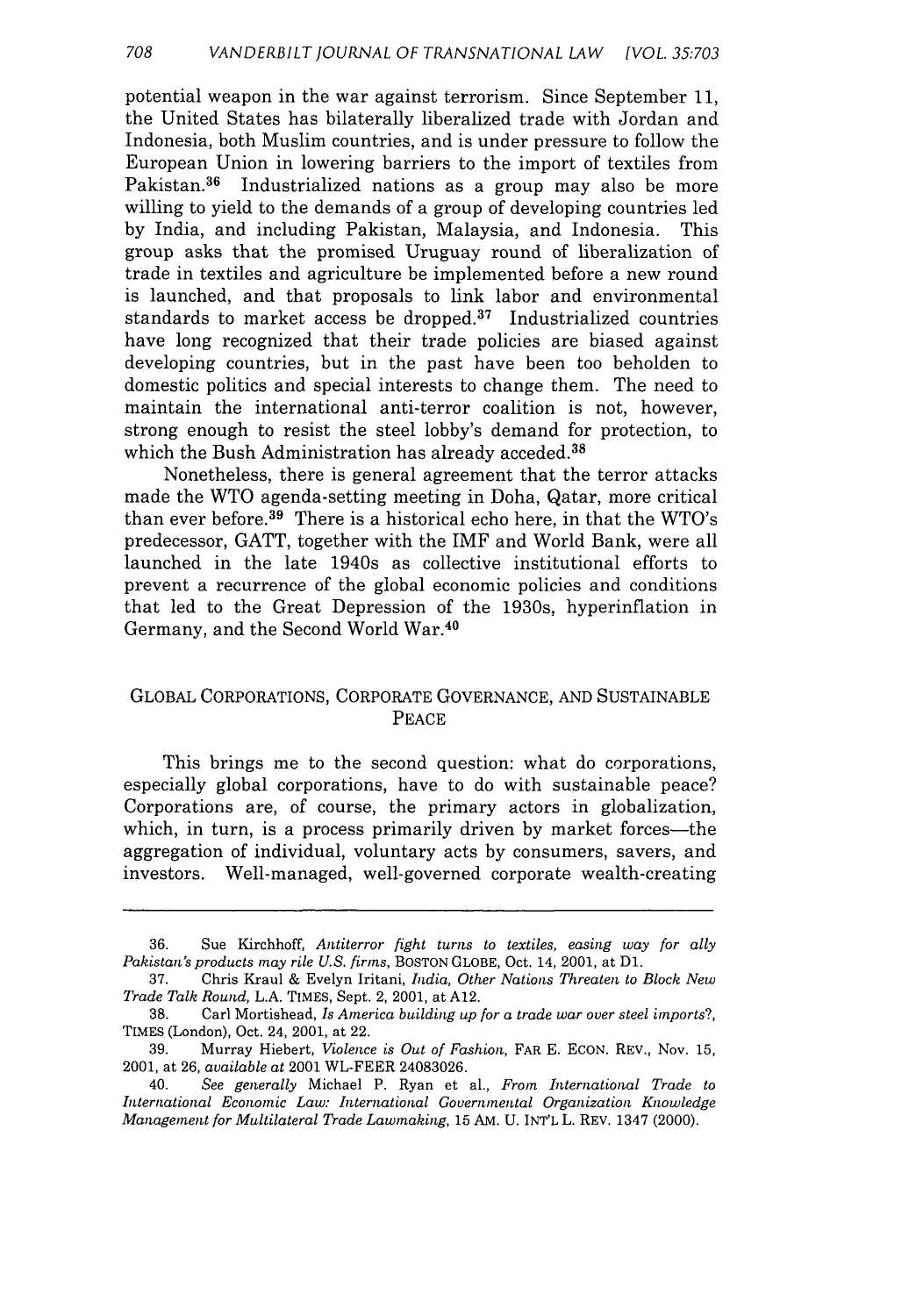potential weapon in the war against terrorism. Since September 11, the United States has bilaterally liberalized trade with Jordan and Indonesia, both Muslim countries, and is under pressure to follow the European Union in lowering barriers to the import of textiles from Pakistan.<sup>36</sup> Industrialized nations as a group may also be more willing to yield to the demands of a group of developing countries led **by** India, and including Pakistan, Malaysia, and Indonesia. This group asks that the promised Uruguay round of liberalization of trade in textiles and agriculture be implemented before a new round is launched, and that proposals to link labor and environmental standards to market access be dropped. $37$  Industrialized countries have long recognized that their trade policies are biased against developing countries, but in the past have been too beholden to domestic politics and special interests to change them. The need to maintain the international anti-terror coalition is not, however, strong enough to resist the steel lobby's demand for protection, to which the Bush Administration has already acceded.<sup>38</sup>

Nonetheless, there is general agreement that the terror attacks made the WTO agenda-setting meeting in Doha, Qatar, more critical than ever before. $39$  There is a historical echo here, in that the WTO's predecessor, GATT, together with the IMF and World Bank, were all launched in the late 1940s as collective institutional efforts to prevent a recurrence of the global economic policies and conditions that led to the Great Depression of the 1930s, hyperinflation in Germany, and the Second World War.<sup>40</sup>

#### GLOBAL CORPORATIONS, CORPORATE GOVERNANCE, AND SUSTAINABLE PEACE

This brings me to the second question: what do corporations, especially global corporations, have to do with sustainable peace? Corporations are, of course, the primary actors in globalization, which, in turn, is a process primarily driven by market forces—the aggregation of individual, voluntary acts by consumers, savers, and investors. Well-managed, well-governed corporate wealth-creating

<sup>36.</sup> Sue Kirchhoff, *Antiterror fight turns to textiles, easing way for ally Pakistan's products may rile U.S. firms,* BOSTON GLOBE, Oct. 14, 2001, at **D1.**

<sup>37.</sup> Chris Kraul & Evelyn Iritani, *India, Other Nations Threaten to Block New Trade Talk Round,* L.A. TIMES, Sept. 2, 2001, at A12.

<sup>38.</sup> Carl Mortishead, *Is America building up for a trade war over steel imports?,* TIMES (London), Oct. 24, 2001, at 22.

<sup>39.</sup> Murray Hiebert, *Violence is Out of Fashion,* FAR E. ECON. REV., Nov. 15, 2001, at 26, *available at* 2001 WL-FEER 24083026.

<sup>40.</sup> *See generally* Michael P. Ryan et al., *From International Trade to International Economic Law: International Governmental Organization Knowledge Management for Multilateral Trade Lamaking,* 15 AM. U. INT'L L. REV. 1347 (2000).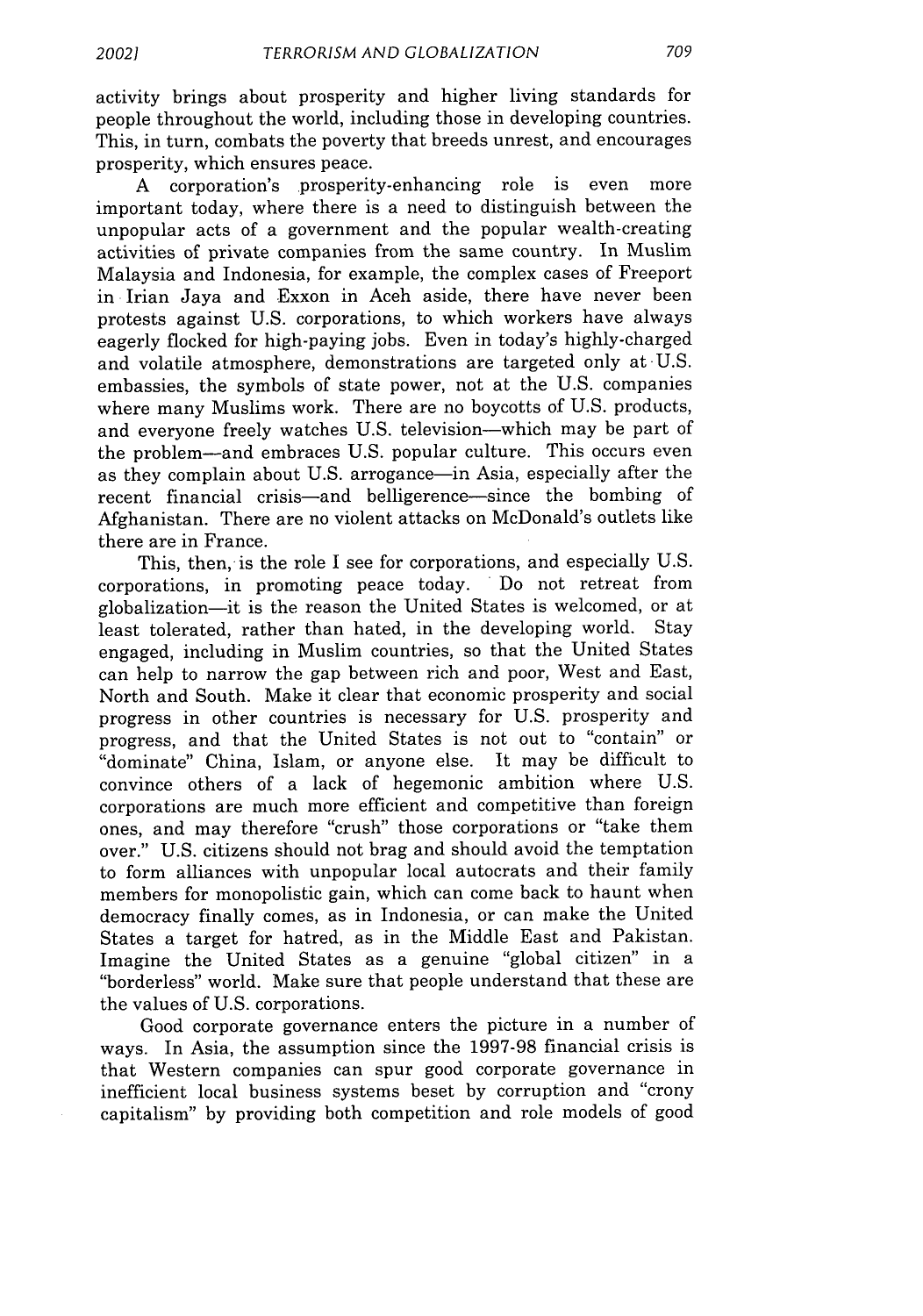activity brings about prosperity and higher living standards for people throughout the world, including those in developing countries. This, in turn, combats the poverty that breeds unrest, and encourages prosperity, which ensures peace.

A corporation's prosperity-enhancing role is even more important today, where there is a need to distinguish between the unpopular acts of a government and the popular wealth-creating activities of private companies from the same country. In Muslim Malaysia and Indonesia, for example, the complex cases of Freeport in Irian Jaya and Exxon in Aceh aside, there have never been protests against U.S. corporations, to which workers have always eagerly flocked for high-paying jobs. Even in today's highly-charged and volatile atmosphere, demonstrations are targeted only at-U.S. embassies, the symbols of state power, not at the U.S. companies where many Muslims work. There are no boycotts of U.S. products, and everyone freely watches U.S. television-which may be part of the problem-and embraces U.S. popular culture. This occurs even as they complain about U.S. arrogance—in Asia, especially after the recent financial crisis-and belligerence-since the bombing of Afghanistan. There are no violent attacks on McDonald's outlets like there are in France.

This, then, is the role I see for corporations, and especially U.S. corporations, in promoting peace today. Do not retreat from globalization-it is the reason the United States is welcomed, or at least tolerated, rather than hated, in the developing world. Stay engaged, including in Muslim countries, so that the United States can help to narrow the gap between rich and poor, West and East, North and South. Make it clear that economic prosperity and social progress in other countries is necessary for U.S. prosperity and progress, and that the United States is not out to "contain" or "dominate" China, Islam, or anyone else. It may be difficult to convince others of a lack of hegemonic ambition where U.S. corporations are much more efficient and competitive than foreign ones, and may therefore "crush" those corporations or "take them over." U.S. citizens should not brag and should avoid the temptation to form alliances with unpopular local autocrats and their family members for monopolistic gain, which can come back to haunt when democracy finally comes, as in Indonesia, or can make the United States a target for hatred, as in the Middle East and Pakistan. Imagine the United States as a genuine "global citizen" in a "borderless" world. Make sure that people understand that these are the values of U.S. corporations.

Good corporate governance enters the picture in a number of ways. In Asia, the assumption since the 1997-98 financial crisis is that Western companies can spur good corporate governance in inefficient local business systems beset by corruption and "crony capitalism" by providing both competition and role models of good